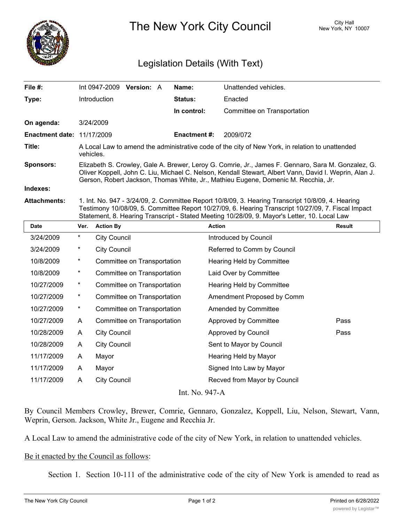

The New York City Council New York, NY 10007

## Legislation Details (With Text)

| File #:                           |                                                                                                                                                                                                                                                                                                         |                             | Int 0947-2009 Version: A    |  | Name:               | Unattended vehicles.         |        |
|-----------------------------------|---------------------------------------------------------------------------------------------------------------------------------------------------------------------------------------------------------------------------------------------------------------------------------------------------------|-----------------------------|-----------------------------|--|---------------------|------------------------------|--------|
| Type:                             |                                                                                                                                                                                                                                                                                                         | Introduction                |                             |  | Status:             | Enacted                      |        |
|                                   |                                                                                                                                                                                                                                                                                                         |                             |                             |  | In control:         | Committee on Transportation  |        |
| On agenda:                        |                                                                                                                                                                                                                                                                                                         | 3/24/2009                   |                             |  |                     |                              |        |
| <b>Enactment date: 11/17/2009</b> |                                                                                                                                                                                                                                                                                                         |                             |                             |  | <b>Enactment #:</b> | 2009/072                     |        |
| Title:                            | A Local Law to amend the administrative code of the city of New York, in relation to unattended<br>vehicles.                                                                                                                                                                                            |                             |                             |  |                     |                              |        |
| <b>Sponsors:</b>                  | Elizabeth S. Crowley, Gale A. Brewer, Leroy G. Comrie, Jr., James F. Gennaro, Sara M. Gonzalez, G.<br>Oliver Koppell, John C. Liu, Michael C. Nelson, Kendall Stewart, Albert Vann, David I. Weprin, Alan J.<br>Gerson, Robert Jackson, Thomas White, Jr., Mathieu Eugene, Domenic M. Recchia, Jr.      |                             |                             |  |                     |                              |        |
| Indexes:                          |                                                                                                                                                                                                                                                                                                         |                             |                             |  |                     |                              |        |
| <b>Attachments:</b>               | 1. Int. No. 947 - 3/24/09, 2. Committee Report 10/8/09, 3. Hearing Transcript 10/8/09, 4. Hearing<br>Testimony 10/08/09, 5. Committee Report 10/27/09, 6. Hearing Transcript 10/27/09, 7. Fiscal Impact<br>Statement, 8. Hearing Transcript - Stated Meeting 10/28/09, 9. Mayor's Letter, 10. Local Law |                             |                             |  |                     |                              |        |
| Date                              | Ver.                                                                                                                                                                                                                                                                                                    | <b>Action By</b>            |                             |  |                     | <b>Action</b>                | Result |
| 3/24/2009                         | $\star$                                                                                                                                                                                                                                                                                                 | <b>City Council</b>         |                             |  |                     | Introduced by Council        |        |
| 3/24/2009                         | *                                                                                                                                                                                                                                                                                                       | <b>City Council</b>         |                             |  |                     | Referred to Comm by Council  |        |
| 10/8/2009                         | *                                                                                                                                                                                                                                                                                                       | Committee on Transportation |                             |  |                     | Hearing Held by Committee    |        |
| 10/8/2009                         | *                                                                                                                                                                                                                                                                                                       | Committee on Transportation |                             |  |                     | Laid Over by Committee       |        |
| 10/27/2009                        | $\ast$                                                                                                                                                                                                                                                                                                  |                             | Committee on Transportation |  |                     | Hearing Held by Committee    |        |
| 10/27/2009                        | *                                                                                                                                                                                                                                                                                                       |                             | Committee on Transportation |  |                     | Amendment Proposed by Comm   |        |
| 10/27/2009                        | $\star$                                                                                                                                                                                                                                                                                                 |                             | Committee on Transportation |  |                     | Amended by Committee         |        |
| 10/27/2009                        | A                                                                                                                                                                                                                                                                                                       |                             | Committee on Transportation |  |                     | Approved by Committee        | Pass   |
| 10/28/2009                        | A                                                                                                                                                                                                                                                                                                       | <b>City Council</b>         |                             |  |                     | Approved by Council          | Pass   |
| 10/28/2009                        | A                                                                                                                                                                                                                                                                                                       | <b>City Council</b>         |                             |  |                     | Sent to Mayor by Council     |        |
| 11/17/2009                        | A                                                                                                                                                                                                                                                                                                       | Mayor                       |                             |  |                     | Hearing Held by Mayor        |        |
| 11/17/2009                        | A                                                                                                                                                                                                                                                                                                       | Mayor                       |                             |  |                     | Signed Into Law by Mayor     |        |
| 11/17/2009                        | A                                                                                                                                                                                                                                                                                                       | <b>City Council</b>         |                             |  |                     | Recved from Mayor by Council |        |
| Int. No. 947-A                    |                                                                                                                                                                                                                                                                                                         |                             |                             |  |                     |                              |        |

By Council Members Crowley, Brewer, Comrie, Gennaro, Gonzalez, Koppell, Liu, Nelson, Stewart, Vann, Weprin, Gerson. Jackson, White Jr., Eugene and Recchia Jr.

A Local Law to amend the administrative code of the city of New York, in relation to unattended vehicles.

## Be it enacted by the Council as follows:

Section 1. Section 10-111 of the administrative code of the city of New York is amended to read as